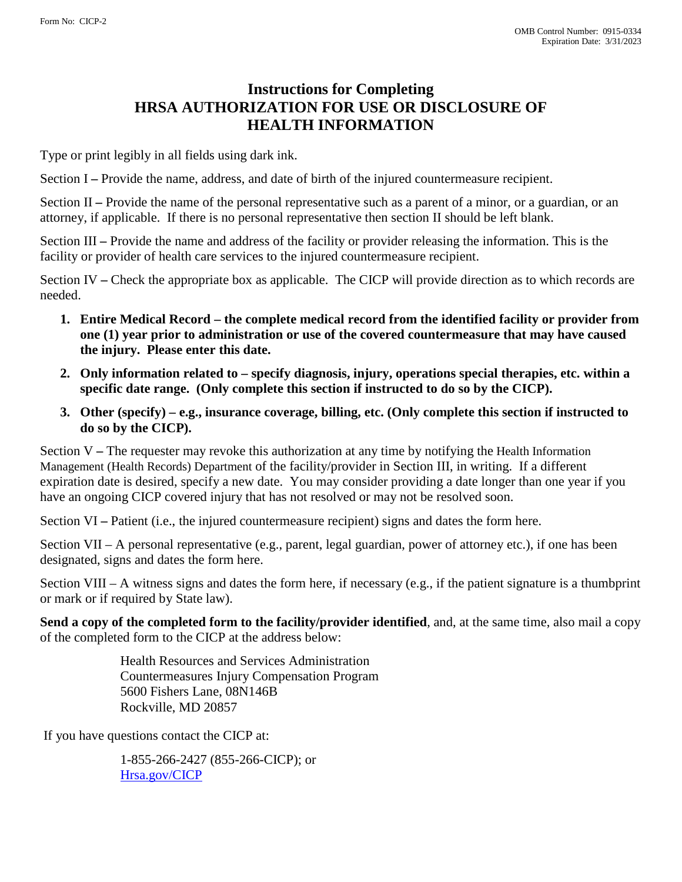## **Instructions for Completing HRSA AUTHORIZATION FOR USE OR DISCLOSURE OF HEALTH INFORMATION**

Type or print legibly in all fields using dark ink.

Section I – Provide the name, address, and date of birth of the injured countermeasure recipient.

Section II **–** Provide the name of the personal representative such as a parent of a minor, or a guardian, or an attorney, if applicable. If there is no personal representative then section II should be left blank.

Section III **–** Provide the name and address of the facility or provider releasing the information. This is the facility or provider of health care services to the injured countermeasure recipient.

Section IV **–** Check the appropriate box as applicable. The CICP will provide direction as to which records are needed.

- **1. Entire Medical Record the complete medical record from the identified facility or provider from one (1) year prior to administration or use of the covered countermeasure that may have caused the injury. Please enter this date.**
- **2. Only information related to specify diagnosis, injury, operations special therapies, etc. within a specific date range. (Only complete this section if instructed to do so by the CICP).**
- **3. Other (specify) e.g., insurance coverage, billing, etc. (Only complete this section if instructed to do so by the CICP).**

Section V **–** The requester may revoke this authorization at any time by notifying the Health Information Management (Health Records) Department of the facility/provider in Section III, in writing. If a different expiration date is desired, specify a new date. You may consider providing a date longer than one year if you have an ongoing CICP covered injury that has not resolved or may not be resolved soon.

Section VI – Patient (i.e., the injured countermeasure recipient) signs and dates the form here.

Section VII – A personal representative (e.g., parent, legal guardian, power of attorney etc.), if one has been designated, signs and dates the form here.

Section VIII – A witness signs and dates the form here, if necessary (e.g., if the patient signature is a thumbprint or mark or if required by State law).

**Send a copy of the completed form to the facility/provider identified**, and, at the same time, also mail a copy of the completed form to the CICP at the address below:

> Health Resources and Services Administration Countermeasures Injury Compensation Program 5600 Fishers Lane, 08N146B Rockville, MD 20857

If you have questions contact the CICP at:

1-855-266-2427 (855-266-CICP); or [Hrsa.gov/CICP](mailto:hrsa.gov/CICP)